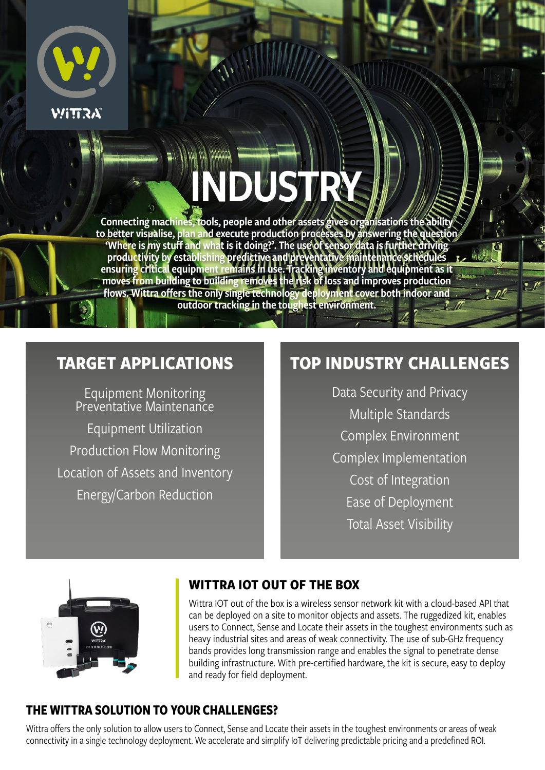

# INDUSTRY

Connecting machines, tools, people and other assets gives organisations the ability to better visualise, plan and execute production processes by answering the question 'Where is my stuff and what is it doing?'. The use of sensor data is further driving productivity by establishing predictive and preventative maintenance schedules ensuring critical equipment remains in use. Tracking inventory and equipment as it moves from building to building removes the risk of loss and improves production flows. Wittra offers the only single technology deployment cover both indoor and outdoor tracking in the toughest environment.

## **TARGET APPLICATIONS**

Equipment Monitoring Preventative Maintenance

Equipment Utilization Production Flow Monitoring Location of Assets and Inventory Energy/Carbon Reduction

# **TOP INDUSTRY CHALLENGES**

 $\cdot$ 

 $n$ 

Data Security and Privacy Multiple Standards Complex Environment Complex Implementation Cost of Integration Ease of Deployment Total Asset Visibility



### **WITTRA IOT OUT OF THE BOX**

Wittra IOT out of the box is a wireless sensor network kit with a cloud-based API that can be deployed on a site to monitor objects and assets. The ruggedized kit, enables users to Connect, Sense and Locate their assets in the toughest environments such as heavy industrial sites and areas of weak connectivity. The use of sub-GHz frequency bands provides long transmission range and enables the signal to penetrate dense building infrastructure. With pre-certified hardware, the kit is secure, easy to deploy and ready for field deployment.

### **THE WITTRA SOLUTION TO YOUR CHALLENGES?**

Wittra offers the only solution to allow users to Connect, Sense and Locate their assets in the toughest environments or areas of weak connectivity in a single technology deployment. We accelerate and simplify IoT delivering predictable pricing and a predefined ROI.